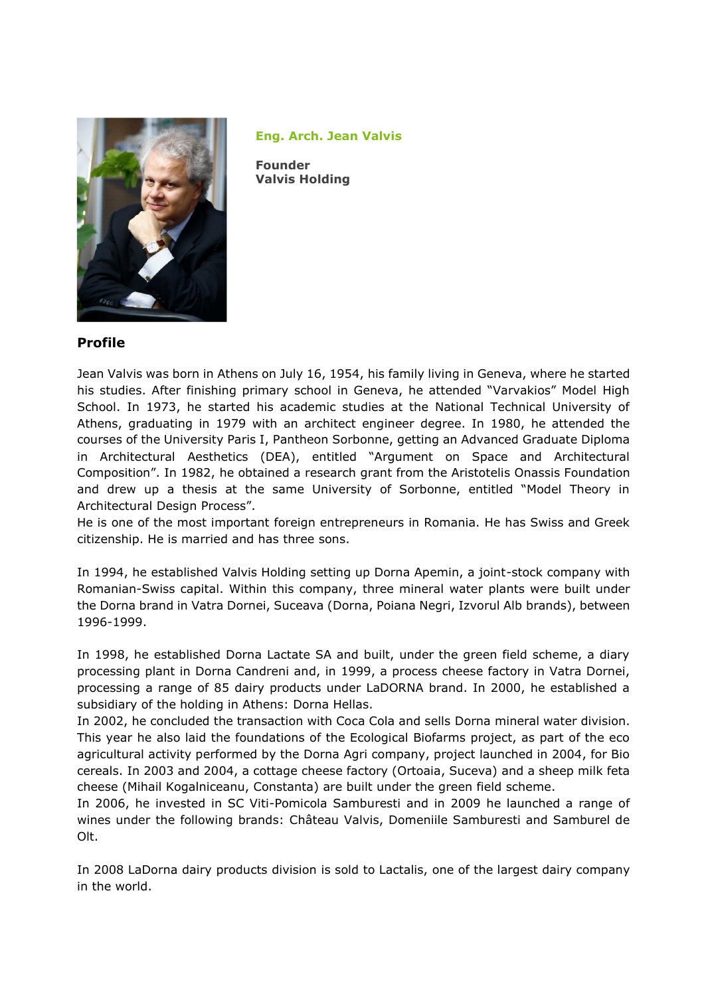

**Eng. Arch. Jean Valvis** 

**Founder Valvis Holding**

## **Profile**

Jean Valvis was born in Athens on July 16, 1954, his family living in Geneva, where he started his studies. After finishing primary school in Geneva, he attended "Varvakios" Model High School. In 1973, he started his academic studies at the National Technical University of Athens, graduating in 1979 with an architect engineer degree. In 1980, he attended the courses of the University Paris I, Pantheon Sorbonne, getting an Advanced Graduate Diploma in Architectural Aesthetics (DEA), entitled "Argument on Space and Architectural Composition". In 1982, he obtained a research grant from the Aristotelis [Onassis](http://en.wikipedia.org/wiki/Onassis) Foundation and drew up a thesis at the same University of Sorbonne, entitled "Model Theory in Architectural Design Process".

He is one of the most important foreign entrepreneurs in Romania. He has Swiss and Greek citizenship. He is married and has three sons.

In 1994, he established Valvis Holding setting up Dorna Apemin, a joint-stock company with Romanian-Swiss capital. Within this company, three mineral water plants were built under the Dorna brand in Vatra Dornei, Suceava (Dorna, Poiana Negri, Izvorul Alb brands), between 1996-1999.

In 1998, he established Dorna Lactate SA and built, under the green field scheme, a diary processing plant in Dorna Candreni and, in 1999, a process cheese factory in Vatra Dornei, processing a range of 85 dairy products under LaDORNA brand. In 2000, he established a subsidiary of the holding in Athens: Dorna Hellas.

In 2002, he concluded the transaction with Coca Cola and sells Dorna mineral water division. This year he also laid the foundations of the Ecological Biofarms project, as part of the eco agricultural activity performed by the Dorna Agri company, project launched in 2004, for Bio cereals. In 2003 and 2004, a cottage cheese factory (Ortoaia, Suceva) and a sheep milk feta cheese (Mihail Kogalniceanu, Constanta) are built under the green field scheme.

In 2006, he invested in SC Viti-Pomicola Samburesti and in 2009 he launched a range of wines under the following brands: Château Valvis, Domeniile Samburesti and Samburel de Olt.

In 2008 LaDorna dairy products division is sold to Lactalis, one of the largest dairy company in the world.